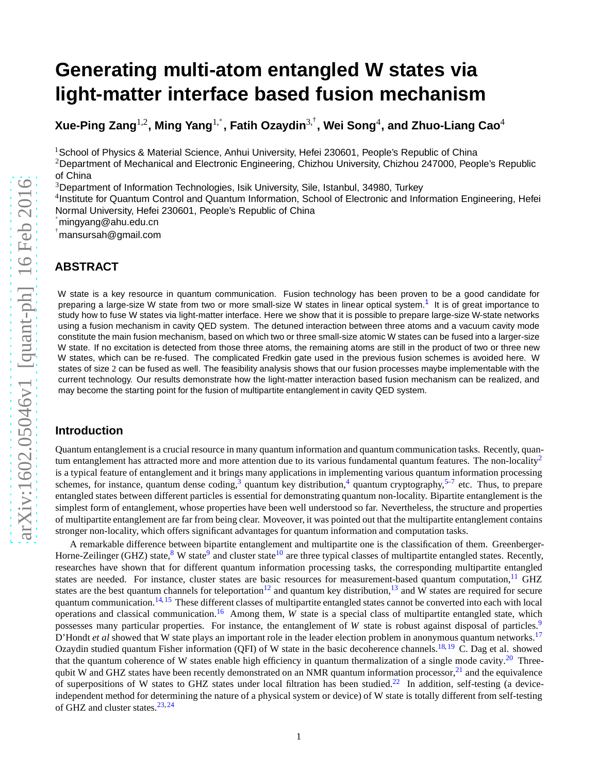# **Generating multi-atom entangled W states via light-matter interface based fusion mechanism**

**Xue-Ping Zang**1,2**, Ming Yang**1,<sup>∗</sup> **, Fatih Ozaydin**3,† **, Wei Song**<sup>4</sup> **, and Zhuo-Liang Cao**<sup>4</sup>

<sup>1</sup> School of Physics & Material Science, Anhui University, Hefei 230601, People's Republic of China

<sup>2</sup>Department of Mechanical and Electronic Engineering, Chizhou University, Chizhou 247000, People's Republic of China

<sup>3</sup>Department of Information Technologies, Isik University, Sile, Istanbul, 34980, Turkey

<sup>4</sup>Institute for Quantum Control and Quantum Information, School of Electronic and Information Engineering, Hefei Normal University, Hefei 230601, People's Republic of China

∗ mingyang@ahu.edu.cn

† mansursah@gmail.com

# **ABSTRACT**

W state is a key resource in quantum communication. Fusion technology has been proven to be a good candidate for preparing a large-size W state from two or more small-size W states in linear optical system.<sup>[1](#page-6-0)</sup> It is of great importance to study how to fuse W states via light-matter interface. Here we show that it is possible to prepare large-size W-state networks using a fusion mechanism in cavity QED system. The detuned interaction between three atoms and a vacuum cavity mode constitute the main fusion mechanism, based on which two or three small-size atomic W states can be fused into a larger-size W state. If no excitation is detected from those three atoms, the remaining atoms are still in the product of two or three new W states, which can be re-fused. The complicated Fredkin gate used in the previous fusion schemes is avoided here. W states of size 2 can be fused as well. The feasibility analysis shows that our fusion processes maybe implementable with the current technology. Our results demonstrate how the light-matter interaction based fusion mechanism can be realized, and may become the starting point for the fusion of multipartite entanglement in cavity QED system.

#### **Introduction**

Quantum entanglement is a crucial resource in many quantum information and quantum communication tasks. Recently, quan-tum entanglement has attracted more and more attention due to its various fundamental quantum features. The non-locality<sup>[2](#page-6-1)</sup> is a typical feature of entanglement and it brings many applications in implementing various quantum information processing schemes, for instance, quantum dense coding,<sup>[3](#page-6-2)</sup> quantum key distribution,<sup>[4](#page-6-3)</sup> quantum cryptography,<sup>[5](#page-6-4)[–7](#page-6-5)</sup> etc. Thus, to prepare entangled states between different particles is essential for demonstrating quantum non-locality. Bipartite entanglement is the simplest form of entanglement, whose properties have been well understood so far. Nevertheless, the structure and properties of multipartite entanglement are far from being clear. Moveover, it was pointed out that the multipartite entanglement contains stronger non-locality, which offers significant advantages for quantum information and computation tasks.

A remarkable difference between bipartite entanglement and multipartite one is the classification of them. Greenberger-Horne-Zeilinger (GHZ) state,<sup>[8](#page-6-6)</sup> W state<sup>[9](#page-6-7)</sup> and cluster state<sup>[10](#page-6-8)</sup> are three typical classes of multipartite entangled states. Recently, researches have shown that for different quantum information processing tasks, the corresponding multipartite entangled states are needed. For instance, cluster states are basic resources for measurement-based quantum computation, $^{11}$  $^{11}$  $^{11}$  GHZ states are the best quantum channels for teleportation<sup>[12](#page-6-10)</sup> and quantum key distribution,<sup>[13](#page-6-11)</sup> and W states are required for secure quantum communication.<sup>[14,](#page-6-12)[15](#page-6-13)</sup> These different classes of multipartite entangled states cannot be converted into each with local operations and classical communication.<sup>[16](#page-6-14)</sup> Among them, *W* state is a special class of multipartite entangled state, which possesses many particular properties. For instance, the entanglement of *W* state is robust against disposal of particles.<sup>[9](#page-6-7)</sup> D'Hondt *et al* showed that W state plays an important role in the leader election problem in anonymous quantum networks.<sup>[17](#page-6-15)</sup> Ozaydin studied quantum Fisher information (QFI) of W state in the basic decoherence channels.<sup>[18,](#page-6-16)[19](#page-6-17)</sup> C. Dag et al. showed that the quantum coherence of W states enable high efficiency in quantum thermalization of a single mode cavity.<sup>[20](#page-6-18)</sup> Three-qubit W and GHZ states have been recently demonstrated on an NMR quantum information processor,<sup>[21](#page-6-19)</sup> and the equivalence of superpositions of W states to GHZ states under local filtration has been studied.<sup>[22](#page-6-20)</sup> In addition, self-testing (a deviceindependent method for determining the nature of a physical system or device) of W state is totally different from self-testing of GHZ and cluster states. $23,24$  $23,24$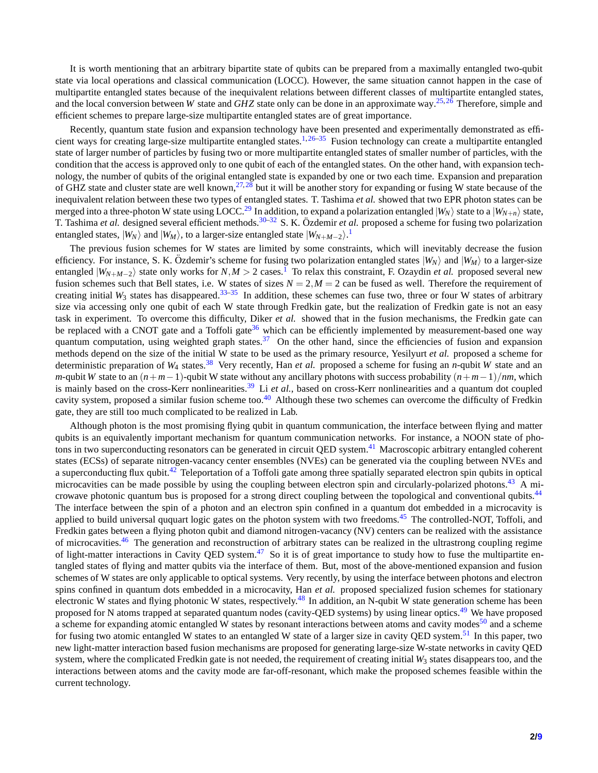It is worth mentioning that an arbitrary bipartite state of qubits can be prepared from a maximally entangled two-qubit state via local operations and classical communication (LOCC). However, the same situation cannot happen in the case of multipartite entangled states because of the inequivalent relations between different classes of multipartite entangled states, and the local conversion between *W* state and *GHZ* state only can be done in an approximate way.[25,](#page-7-0)[26](#page-7-1) Therefore, simple and efficient schemes to prepare large-size multipartite entangled states are of great importance.

Recently, quantum state fusion and expansion technology have been presented and experimentally demonstrated as effi-cient ways for creating large-size multipartite entangled states.<sup>[1,](#page-6-0)[26–](#page-7-1)[35](#page-7-2)</sup> Fusion technology can create a multipartite entangled state of larger number of particles by fusing two or more multipartite entangled states of smaller number of particles, with the condition that the access is approved only to one qubit of each of the entangled states. On the other hand, with expansion technology, the number of qubits of the original entangled state is expanded by one or two each time. Expansion and preparation of GHZ state and cluster state are well known,  $27,28$  $27,28$  but it will be another story for expanding or fusing W state because of the inequivalent relation between these two types of entangled states. T. Tashima *et al.* showed that two EPR photon states can be merged into a three-photon W state using LOCC.<sup>[29](#page-7-5)</sup> In addition, to expand a polarization entangled  $|W_N\rangle$  state to a  $|W_{N+n}\rangle$  state, T. Tashima *et al.* designed several efficient methods.<sup>[30–](#page-7-6)[32](#page-7-7)</sup> S. K. Özdemir *et al.* proposed a scheme for fusing two polarization entangled states,  $|W_N\rangle$  and  $|W_M\rangle$ , to a larger-size entangled state  $|W_{N+M-2}\rangle$ .<sup>[1](#page-6-0)</sup>

The previous fusion schemes for W states are limited by some constraints, which will inevitably decrease the fusion efficiency. For instance, S. K. Özdemir's scheme for fusing two polarization entangled states  $|W_N\rangle$  and  $|W_M\rangle$  to a larger-size entangled  $|W_{N+M-2}\rangle$  state only works for *N*,*M* > 2 cases.<sup>[1](#page-6-0)</sup> To relax this constraint, F. Ozaydin *et al.* proposed several new fusion schemes such that Bell states, i.e. W states of sizes  $N = 2$ ,  $M = 2$  can be fused as well. Therefore the requirement of creating initial  $W_3$  states has disappeared.<sup>[33](#page-7-8)[–35](#page-7-2)</sup> In addition, these schemes can fuse two, three or four W states of arbitrary size via accessing only one qubit of each W state through Fredkin gate, but the realization of Fredkin gate is not an easy task in experiment. To overcome this difficulty, Diker *et al.* showed that in the fusion mechanisms, the Fredkin gate can be replaced with a CNOT gate and a Toffoli gate<sup>[36](#page-7-9)</sup> which can be efficiently implemented by measurement-based one way quantum computation, using weighted graph states.<sup>[37](#page-7-10)</sup> On the other hand, since the efficiencies of fusion and expansion methods depend on the size of the initial W state to be used as the primary resource, Yesilyurt *et al.* proposed a scheme for deterministic preparation of  $W_4$  states.<sup>[38](#page-7-11)</sup> Very recently, Han *et al.* proposed a scheme for fusing an *n*-qubit *W* state and an *m*-qubit *W* state to an  $(n+m-1)$ -qubit W state without any ancillary photons with success probability  $(n+m-1)/nm$ , which is mainly based on the cross-Kerr nonlinearities.[39](#page-7-12) Li *et al.*, based on cross-Kerr nonlinearities and a quantum dot coupled cavity system, proposed a similar fusion scheme too.<sup>[40](#page-7-13)</sup> Although these two schemes can overcome the difficulty of Fredkin gate, they are still too much complicated to be realized in Lab.

Although photon is the most promising flying qubit in quantum communication, the interface between flying and matter qubits is an equivalently important mechanism for quantum communication networks. For instance, a NOON state of pho-tons in two superconducting resonators can be generated in circuit QED system.<sup>[41](#page-7-14)</sup> Macroscopic arbitrary entangled coherent states (ECSs) of separate nitrogen-vacancy center ensembles (NVEs) can be generated via the coupling between NVEs and a superconducting flux qubit.<sup>[42](#page-7-15)</sup> Teleportation of a Toffoli gate among three spatially separated electron spin qubits in optical microcavities can be made possible by using the coupling between electron spin and circularly-polarized photons.<sup>[43](#page-7-16)</sup> A mi-crowave photonic quantum bus is proposed for a strong direct coupling between the topological and conventional qubits.<sup>[44](#page-7-17)</sup> The interface between the spin of a photon and an electron spin confined in a quantum dot embedded in a microcavity is applied to build universal ququart logic gates on the photon system with two freedoms.<sup>[45](#page-7-18)</sup> The controlled-NOT, Toffoli, and Fredkin gates between a flying photon qubit and diamond nitrogen-vacancy (NV) centers can be realized with the assistance of microcavities.<sup>[46](#page-7-19)</sup> The generation and reconstruction of arbitrary states can be realized in the ultrastrong coupling regime of light-matter interactions in Cavity QED system.<sup>[47](#page-7-20)</sup> So it is of great importance to study how to fuse the multipartite entangled states of flying and matter qubits via the interface of them. But, most of the above-mentioned expansion and fusion schemes of W states are only applicable to optical systems. Very recently, by using the interface between photons and electron spins confined in quantum dots embedded in a microcavity, Han *et al.* proposed specialized fusion schemes for stationary electronic W states and flying photonic W states, respectively.<sup>[48](#page-7-21)</sup> In addition, an N-qubit W state generation scheme has been proposed for N atoms trapped at separated quantum nodes (cavity-QED systems) by using linear optics.<sup>[49](#page-7-22)</sup> We have proposed a scheme for expanding atomic entangled W states by resonant interactions between atoms and cavity modes<sup>[50](#page-8-0)</sup> and a scheme for fusing two atomic entangled W states to an entangled W state of a larger size in cavity QED system.<sup>[51](#page-8-1)</sup> In this paper, two new light-matter interaction based fusion mechanisms are proposed for generating large-size W-state networks in cavity QED system, where the complicated Fredkin gate is not needed, the requirement of creating initial  $W_3$  states disappears too, and the interactions between atoms and the cavity mode are far-off-resonant, which make the proposed schemes feasible within the current technology.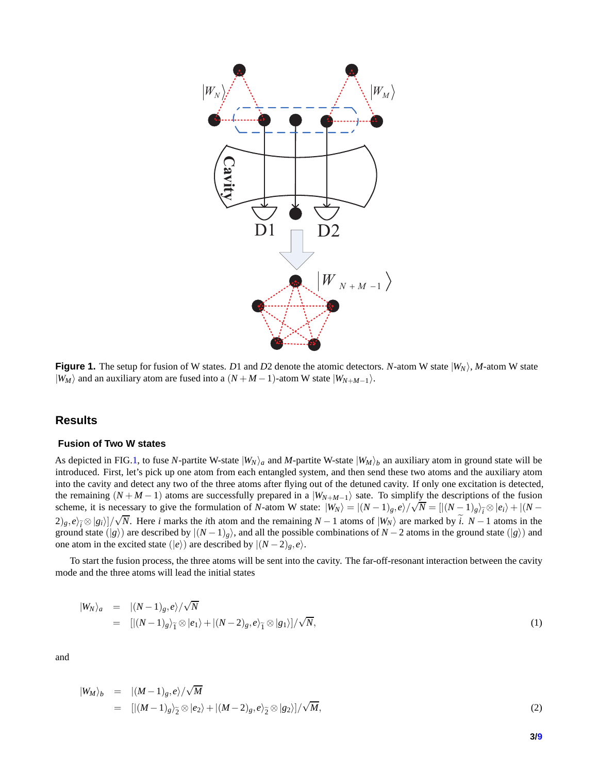<span id="page-2-0"></span>

**Figure 1.** The setup for fusion of W states. *D*1 and *D*2 denote the atomic detectors. *N*-atom W state  $|W_N\rangle$ , *M*-atom W state  $|W_M\rangle$  and an auxiliary atom are fused into a  $(N + M - 1)$ -atom W state  $|W_{N+M-1}\rangle$ .

### **Results**

#### **Fusion of Two W states**

As depicted in FIG[.1,](#page-2-0) to fuse *N*-partite W-state  $|W_N\rangle_a$  and *M*-partite W-state  $|W_M\rangle_b$  an auxiliary atom in ground state will be introduced. First, let's pick up one atom from each entangled system, and then send these two atoms and the auxiliary atom into the cavity and detect any two of the three atoms after flying out of the detuned cavity. If only one excitation is detected, the remaining  $(N + M - 1)$  atoms are successfully prepared in a  $|W_{N+M-1}\rangle$  sate. To simplify the descriptions of the fusion scheme, it is necessary to give the formulation of *N*-atom W state:  $|W_N\rangle = |(N-1)_g, e\rangle / \sqrt{N} = [|(N-1)_g\rangle_{\tilde{i}} \otimes |e_i\rangle + |(N-1)_g\rangle_{\tilde{i}}$  $(2)_g$ , *e*)<sub> $\tilde{i}$  ⊗ |*g*<sub>*i*</sub>)]/ $\sqrt{N}$ . Here *i* marks the *i*th atom and the remaining *N* − 1 atoms of  $|W_N\rangle$  are marked by  $\tilde{i}$ . *N* − 1 atoms in the</sub> ground state ( $|g\rangle$ ) are described by  $|(N-1)_{g}\rangle$ , and all the possible combinations of  $N-2$  atoms in the ground state ( $|g\rangle$ ) and one atom in the excited state ( $|e\rangle$ ) are described by  $|(N-2)_g, e\rangle$ .

To start the fusion process, the three atoms will be sent into the cavity. The far-off-resonant interaction between the cavity mode and the three atoms will lead the initial states

$$
\begin{array}{rcl}\n|W_N\rangle_a & = & |(N-1)_g, e\rangle / \sqrt{N} \\
& = & \left[ |(N-1)_g\rangle_{\widetilde{1}} \otimes |e_1\rangle + |(N-2)_g, e\rangle_{\widetilde{1}} \otimes |g_1\rangle \right] / \sqrt{N},\n\end{array} \tag{1}
$$

and

$$
\begin{array}{rcl}\n|W_M\rangle_b & = & |(M-1)_g, e\rangle / \sqrt{M} \\
& = & \left[ |(M-1)_g\rangle_{\widetilde{2}} \otimes |e_2\rangle + |(M-2)_g, e\rangle_{\widetilde{2}} \otimes |g_2\rangle \right] / \sqrt{M},\n\end{array} \tag{2}
$$

**3[/9](#page-8-2)**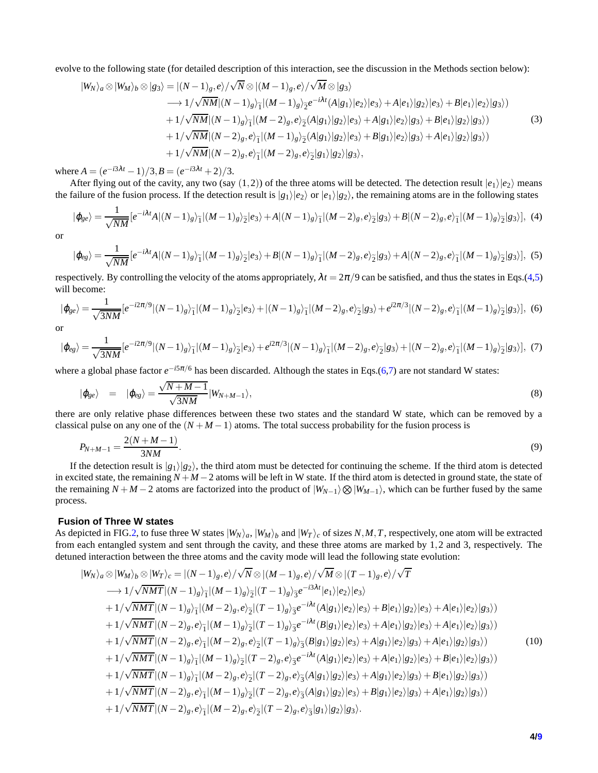evolve to the following state (for detailed description of this interaction, see the discussion in the Methods section below):

$$
|W_N\rangle_a \otimes |W_M\rangle_b \otimes |g_3\rangle = |(N-1)_{g}, e\rangle / \sqrt{N} \otimes |(M-1)_{g}, e\rangle / \sqrt{M} \otimes |g_3\rangle
$$
  
\n
$$
\longrightarrow 1/\sqrt{NM} |(N-1)_{g}\rangle_{\widetilde{1}} |(M-1)_{g}\rangle_{\widetilde{2}} e^{-i\lambda t} (A|g_1\rangle |e_2\rangle |e_3\rangle + A|e_1\rangle |g_2\rangle |e_3\rangle + B|e_1\rangle |e_2\rangle |g_3\rangle)
$$
  
\n
$$
+ 1/\sqrt{NM} |(N-1)_{g}\rangle_{\widetilde{1}} |(M-2)_{g}, e\rangle_{\widetilde{2}} (A|g_1\rangle |g_2\rangle |e_3\rangle + A|g_1\rangle |e_2\rangle |g_3\rangle + B|e_1\rangle |g_2\rangle |g_3\rangle)
$$
  
\n
$$
+ 1/\sqrt{NM} |(N-2)_{g}, e\rangle_{\widetilde{1}} |(M-1)_{g}\rangle_{\widetilde{2}} (A|g_1\rangle |g_2\rangle |e_3\rangle + B|g_1\rangle |e_2\rangle |g_3\rangle + A|e_1\rangle |g_2\rangle |g_3\rangle)
$$
  
\n
$$
+ 1/\sqrt{NM} |(N-2)_{g}, e\rangle_{\widetilde{1}} |(M-2)_{g}, e\rangle_{\widetilde{2}} |g_1\rangle |g_2\rangle |g_3\rangle,
$$
  
\n(3)

where  $A = (e^{-i3\lambda t} - 1)/3$ ,  $B = (e^{-i3\lambda t} + 2)/3$ .

After flying out of the cavity, any two (say  $(1,2)$ ) of the three atoms will be detected. The detection result  $|e_1\rangle|e_2\rangle$  means the failure of the fusion process. If the detection result is  $|g_1\rangle|e_2\rangle$  or  $|e_1\rangle|g_2\rangle$ , the remaining atoms are in the following states

$$
|\varphi_{ge}\rangle = \frac{1}{\sqrt{NM}}[e^{-i\lambda t}A|(N-1)_{g}\rangle_{\widetilde{1}}|(M-1)_{g}\rangle_{\widetilde{2}}|e_{3}\rangle + A|(N-1)_{g}\rangle_{\widetilde{1}}|(M-2)_{g},e\rangle_{\widetilde{2}}|g_{3}\rangle + B|(N-2)_{g},e\rangle_{\widetilde{1}}|(M-1)_{g}\rangle_{\widetilde{2}}|g_{3}\rangle], \tag{4}
$$

<span id="page-3-1"></span>or

<span id="page-3-0"></span>
$$
|\varphi_{eg}\rangle = \frac{1}{\sqrt{NM}} [e^{-i\lambda t}A|(N-1)_{g}\rangle_{\widetilde{1}}|(M-1)_{g}\rangle_{\widetilde{2}}|e_{3}\rangle + B|(N-1)_{g}\rangle_{\widetilde{1}}|(M-2)_{g},e\rangle_{\widetilde{2}}|g_{3}\rangle + A|(N-2)_{g},e\rangle_{\widetilde{1}}|(M-1)_{g}\rangle_{\widetilde{2}}|g_{3}\rangle],
$$
(5)

respectively. By controlling the velocity of the atoms appropriately,  $\lambda t = 2\pi/9$  can be satisfied, and thus the states in Eqs.[\(4,](#page-3-0)[5\)](#page-3-1) will become:

<span id="page-3-2"></span>
$$
|\varphi_{ge}\rangle = \frac{1}{\sqrt{3NM}} \left[e^{-i2\pi/9} |(N-1)_{g}\rangle_{\widetilde{1}} |(M-1)_{g}\rangle_{\widetilde{2}} |e_{3}\rangle + |(N-1)_{g}\rangle_{\widetilde{1}} |(M-2)_{g}, e\rangle_{\widetilde{2}} |g_{3}\rangle + e^{i2\pi/3} |(N-2)_{g}, e\rangle_{\widetilde{1}} |(M-1)_{g}\rangle_{\widetilde{2}} |g_{3}\rangle\right], \tag{6}
$$

<span id="page-3-3"></span>or

$$
|\varphi_{eg}\rangle = \frac{1}{\sqrt{3NM}}[e^{-i2\pi/9}|(N-1)_{g}\rangle_{\widetilde{1}}|(M-1)_{g}\rangle_{\widetilde{2}}|e_{3}\rangle + e^{i2\pi/3}|(N-1)_{g}\rangle_{\widetilde{1}}|(M-2)_{g},e\rangle_{\widetilde{2}}|g_{3}\rangle + |(N-2)_{g},e\rangle_{\widetilde{1}}|(M-1)_{g}\rangle_{\widetilde{2}}|g_{3}\rangle],
$$
(7)

where a global phase factor  $e^{-i5π/6}$  has been discarded. Although the states in Eqs.[\(6](#page-3-2)[,7\)](#page-3-3) are not standard W states:

$$
|\varphi_{ge}\rangle = |\varphi_{eg}\rangle = \frac{\sqrt{N+M-1}}{\sqrt{3NM}}|W_{N+M-1}\rangle,
$$
\n(8)

there are only relative phase differences between these two states and the standard W state, which can be removed by a classical pulse on any one of the  $(N+M-1)$  atoms. The total success probability for the fusion process is

$$
P_{N+M-1} = \frac{2(N+M-1)}{3NM}.\tag{9}
$$

If the detection result is  $|g_1\rangle|g_2\rangle$ , the third atom must be detected for continuing the scheme. If the third atom is detected in excited state, the remaining *N* +*M* −2 atoms will be left in W state. If the third atom is detected in ground state, the state of the remaining  $N + M - 2$  atoms are factorized into the product of  $|W_{N-1}\rangle \otimes |W_{M-1}\rangle$ , which can be further fused by the same process.

#### **Fusion of Three W states**

As depicted in FIG[.2,](#page-4-0) to fuse three W states  $|W_N\rangle_a$ ,  $|W_M\rangle_b$  and  $|W_T\rangle_c$  of sizes N, M, T, respectively, one atom will be extracted from each entangled system and sent through the cavity, and these three atoms are marked by 1,2 and 3, respectively. The detuned interaction between the three atoms and the cavity mode will lead the following state evolution:

$$
|W_N\rangle_a \otimes |W_M\rangle_b \otimes |W_T\rangle_c = |(N-1)_{g}, e\rangle / \sqrt{N} \otimes |(M-1)_{g}, e\rangle / \sqrt{M} \otimes |(T-1)_{g}, e\rangle / \sqrt{T}
$$
  
\n
$$
\longrightarrow 1/\sqrt{NMT}|(N-1)_{g}\rangle_{1}^{-} |(M-1)_{g}\rangle_{2}^{-} |(T-1)_{g}\rangle_{3}^{-}e^{-i3\lambda t}|e_{1}\rangle |e_{2}\rangle |e_{3}\rangle
$$
  
\n
$$
+1/\sqrt{NMT}|(N-1)_{g}\rangle_{1}^{-} |(M-2)_{g}, e\rangle_{2}^{-} |(T-1)_{g}\rangle_{3}^{-}e^{-i\lambda t}(A|g_{1}\rangle |e_{2}\rangle |e_{3}\rangle + B|e_{1}\rangle |g_{2}\rangle |e_{3}\rangle + A|e_{1}\rangle |e_{2}\rangle |g_{3}\rangle)
$$
  
\n
$$
+1/\sqrt{NMT}|(N-2)_{g}, e\rangle_{1}^{-} |(M-1)_{g}\rangle_{2}^{-} |(T-1)_{g}\rangle_{3}^{-}e^{-i\lambda t}(B|g_{1}\rangle |e_{2}\rangle |e_{3}\rangle + A|e_{1}\rangle |g_{2}\rangle |e_{3}\rangle + A|e_{1}\rangle |e_{2}\rangle |g_{3}\rangle)
$$
  
\n
$$
+1/\sqrt{NMT}|(N-2)_{g}, e\rangle_{1}^{-} |(M-2)_{g}, e\rangle_{2}^{-} |(T-1)_{g}\rangle_{3}^{-} (B|g_{1}\rangle |g_{2}\rangle |e_{3}\rangle + A|g_{1}\rangle |e_{2}\rangle |g_{3}\rangle + A|e_{1}\rangle |g_{2}\rangle |g_{3}\rangle)
$$
  
\n
$$
+1/\sqrt{NMT}|(N-1)_{g}\rangle_{1}^{-} |(M-1)_{g}\rangle_{2}^{-} |(T-2)_{g}, e\rangle_{3}^{-}e^{-i\lambda t}(A|g_{1}\rangle |e_{2}\rangle |e_{3}\rangle + A|e_{1}\rangle |g_{2}\rangle |e_{3}\rangle + B|e_{1}\rangle |e_{2}\rangle |g_{3}\rangle)
$$
  
\n
$$
+1/\sqrt{NMT}|(N-1)_{g}\rangle_{1}^{-} |(M-2)_{g}, e\rangle_{2}^{-} |(T-2)_{g}, e\r
$$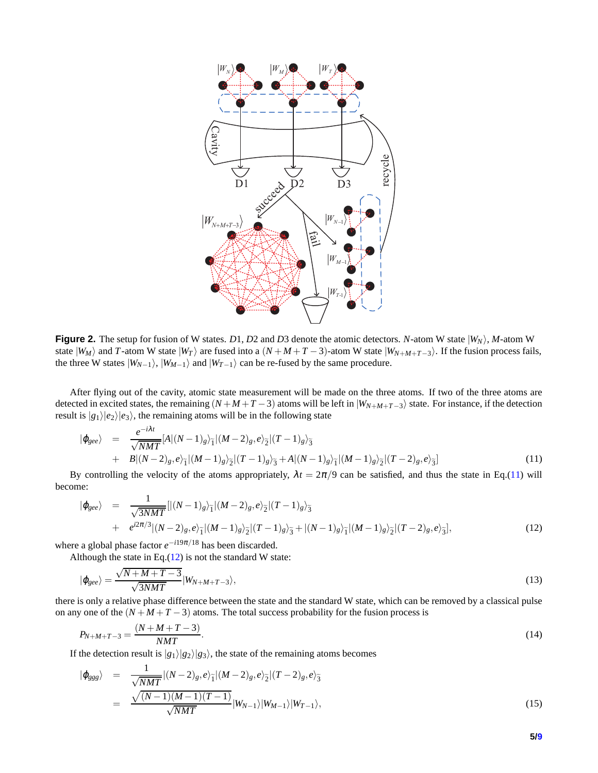<span id="page-4-0"></span>

**Figure 2.** The setup for fusion of W states. *D*1, *D*2 and *D*3 denote the atomic detectors. *N*-atom W state  $|W_N\rangle$ , *M*-atom W state  $|W_M\rangle$  and *T*-atom W state  $|W_T\rangle$  are fused into a  $(N+M+T-3)$ -atom W state  $|W_{N+M+T-3}\rangle$ . If the fusion process fails, the three W states  $|W_{N-1}\rangle$ ,  $|W_{M-1}\rangle$  and  $|W_{T-1}\rangle$  can be re-fused by the same procedure.

After flying out of the cavity, atomic state measurement will be made on the three atoms. If two of the three atoms are detected in excited states, the remaining  $(N+M+T-3)$  atoms will be left in  $|W_{N+M+T-3}\rangle$  state. For instance, if the detection result is  $|g_1\rangle|e_2\rangle|e_3\rangle$ , the remaining atoms will be in the following state

<span id="page-4-1"></span>
$$
\begin{split} |\varphi_{\text{gee}}\rangle &= \frac{e^{-i\lambda t}}{\sqrt{NMT}} [A|(N-1)_{g}\rangle_{\widetilde{1}} |(M-2)_{g}, e\rangle_{\widetilde{2}} |(T-1)_{g}\rangle_{\widetilde{3}} \\ &+ B|(N-2)_{g}, e\rangle_{\widetilde{1}} |(M-1)_{g}\rangle_{\widetilde{2}} |(T-1)_{g}\rangle_{\widetilde{3}} + A|(N-1)_{g}\rangle_{\widetilde{1}} |(M-1)_{g}\rangle_{\widetilde{2}} |(T-2)_{g}, e\rangle_{\widetilde{3}}] \end{split} \tag{11}
$$

By controlling the velocity of the atoms appropriately,  $\lambda t = 2\pi/9$  can be satisfied, and thus the state in Eq.[\(11\)](#page-4-1) will become:

<span id="page-4-2"></span>
$$
|\varphi_{\text{gee}}\rangle = \frac{1}{\sqrt{3NMT}}[|(N-1)_{g}\rangle_{\tilde{1}}|(M-2)_{g},e\rangle_{\tilde{2}}|(T-1)_{g}\rangle_{\tilde{3}} + e^{i2\pi/3}|(N-2)_{g},e\rangle_{\tilde{1}}|(M-1)_{g}\rangle_{\tilde{2}}|(T-1)_{g}\rangle_{\tilde{3}} + |(N-1)_{g}\rangle_{\tilde{1}}|(M-1)_{g}\rangle_{\tilde{2}}|(T-2)_{g},e\rangle_{\tilde{3}}],
$$
\n(12)

where a global phase factor *e* <sup>−</sup>*i*19π/<sup>18</sup> has been discarded.

Although the state in Eq. $(12)$  is not the standard W state:

$$
|\varphi_{\text{gee}}\rangle = \frac{\sqrt{N+M+T-3}}{\sqrt{3NMT}}|W_{N+M+T-3}\rangle,\tag{13}
$$

there is only a relative phase difference between the state and the standard W state, which can be removed by a classical pulse on any one of the  $(N + M + T - 3)$  atoms. The total success probability for the fusion process is

$$
P_{N+M+T-3} = \frac{(N+M+T-3)}{NMT}.
$$
\n(14)

If the detection result is  $|g_1\rangle|g_2\rangle|g_3\rangle$ , the state of the remaining atoms becomes

$$
|\varphi_{ggg}\rangle = \frac{1}{\sqrt{NMT}}|(N-2)_{g},e\rangle_{\widetilde{1}}|(M-2)_{g},e\rangle_{\widetilde{2}}|(T-2)_{g},e\rangle_{\widetilde{3}}= \frac{\sqrt{(N-1)(M-1)(T-1)}}{\sqrt{NMT}}|W_{N-1}\rangle|W_{M-1}\rangle|W_{T-1}\rangle,
$$
(15)

**5[/9](#page-8-2)**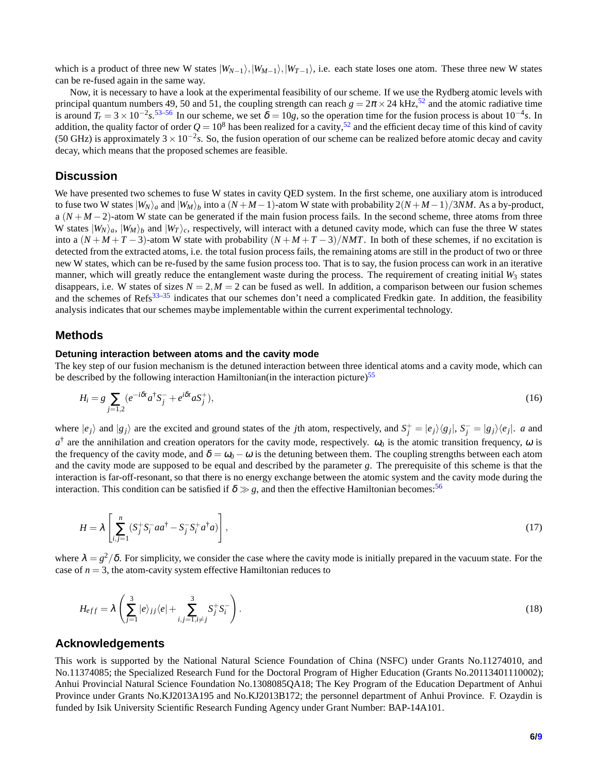which is a product of three new W states  $|W_{N-1}\rangle, |W_{N-1}\rangle, |W_{T-1}\rangle$ , i.e. each state loses one atom. These three new W states can be re-fused again in the same way.

Now, it is necessary to have a look at the experimental feasibility of our scheme. If we use the Rydberg atomic levels with principal quantum numbers 49, 50 and 51, the coupling strength can reach  $g = 2\pi \times 24$  kHz,<sup>[52](#page-8-3)</sup> and the atomic radiative time is around  $T_r = 3 \times 10^{-2} s^{53-56}$  $T_r = 3 \times 10^{-2} s^{53-56}$  $T_r = 3 \times 10^{-2} s^{53-56}$  In our scheme, we set  $\delta = 10g$ , so the operation time for the fusion process is about  $10^{-4}s$ . In addition, the quality factor of order  $Q = 10^8$  has been realized for a cavity,<sup>[52](#page-8-3)</sup> and the efficient decay time of this kind of cavity (50 GHz) is approximately  $3 \times 10^{-2}$ s. So, the fusion operation of our scheme can be realized before atomic decay and cavity decay, which means that the proposed schemes are feasible.

# **Discussion**

We have presented two schemes to fuse W states in cavity OED system. In the first scheme, one auxiliary atom is introduced to fuse two W states  $|W_N\rangle_a$  and  $|W_M\rangle_b$  into a  $(N+M-1)$ -atom W state with probability  $2(N+M-1)/3NM$ . As a by-product, a  $(N + M - 2)$ -atom W state can be generated if the main fusion process fails. In the second scheme, three atoms from three W states  $|W_N\rangle_a$ ,  $|W_M\rangle_b$  and  $|W_T\rangle_c$ , respectively, will interact with a detuned cavity mode, which can fuse the three W states into a  $(N + M + T - 3)$ -atom W state with probability  $(N + M + T - 3)/NMT$ . In both of these schemes, if no excitation is detected from the extracted atoms, i.e. the total fusion process fails, the remaining atoms are still in the product of two or three new W states, which can be re-fused by the same fusion process too. That is to say, the fusion process can work in an iterative manner, which will greatly reduce the entanglement waste during the process. The requirement of creating initial  $W_3$  states disappears, i.e. W states of sizes  $N = 2$ ,  $M = 2$  can be fused as well. In addition, a comparison between our fusion schemes and the schemes of Refs<sup>[33](#page-7-8)[–35](#page-7-2)</sup> indicates that our schemes don't need a complicated Fredkin gate. In addition, the feasibility analysis indicates that our schemes maybe implementable within the current experimental technology.

#### **Methods**

#### **Detuning interaction between atoms and the cavity mode**

The key step of our fusion mechanism is the detuned interaction between three identical atoms and a cavity mode, which can be described by the following interaction Hamiltonian(in the interaction picture)<sup>[55](#page-8-6)</sup>

$$
H_i = g \sum_{j=1,2} \left( e^{-i\delta t} a^{\dagger} S_j^- + e^{i\delta t} a S_j^+ \right),\tag{16}
$$

where  $|e_j\rangle$  and  $|g_j\rangle$  are the excited and ground states of the *j*th atom, respectively, and  $S_j^+ = |e_j\rangle\langle g_j|$ ,  $S_j^- = |g_j\rangle\langle e_j|$ . a and  $a^{\dagger}$  are the annihilation and creation operators for the cavity mode, respectively.  $\omega_0$  is the atomic transition frequency,  $\omega$  is the frequency of the cavity mode, and  $\delta = \omega_0 - \omega$  is the detuning between them. The coupling strengths between each atom and the cavity mode are supposed to be equal and described by the parameter *g*. The prerequisite of this scheme is that the interaction is far-off-resonant, so that there is no energy exchange between the atomic system and the cavity mode during the interaction. This condition can be satisfied if  $\delta \gg g$ , and then the effective Hamiltonian becomes:<sup>[56](#page-8-5)</sup>

$$
H = \lambda \left[ \sum_{i,j=1}^{n} \left( S_j^+ S_i^- a a^\dagger - S_j^- S_i^+ a^\dagger a \right) \right],\tag{17}
$$

where  $\lambda = g^2/\delta$ . For simplicity, we consider the case where the cavity mode is initially prepared in the vacuum state. For the case of  $n = 3$ , the atom-cavity system effective Hamiltonian reduces to

$$
H_{eff} = \lambda \left( \sum_{j=1}^{3} |e\rangle_{jj} \langle e| + \sum_{i,j=1, i \neq j}^{3} S_{j}^{+} S_{i}^{-} \right). \tag{18}
$$

# **Acknowledgements**

This work is supported by the National Natural Science Foundation of China (NSFC) under Grants No.11274010, and No.11374085; the Specialized Research Fund for the Doctoral Program of Higher Education (Grants No.20113401110002); Anhui Provincial Natural Science Foundation No.1308085QA18; The Key Program of the Education Department of Anhui Province under Grants No.KJ2013A195 and No.KJ2013B172; the personnel department of Anhui Province. F. Ozaydin is funded by Isik University Scientific Research Funding Agency under Grant Number: BAP-14A101.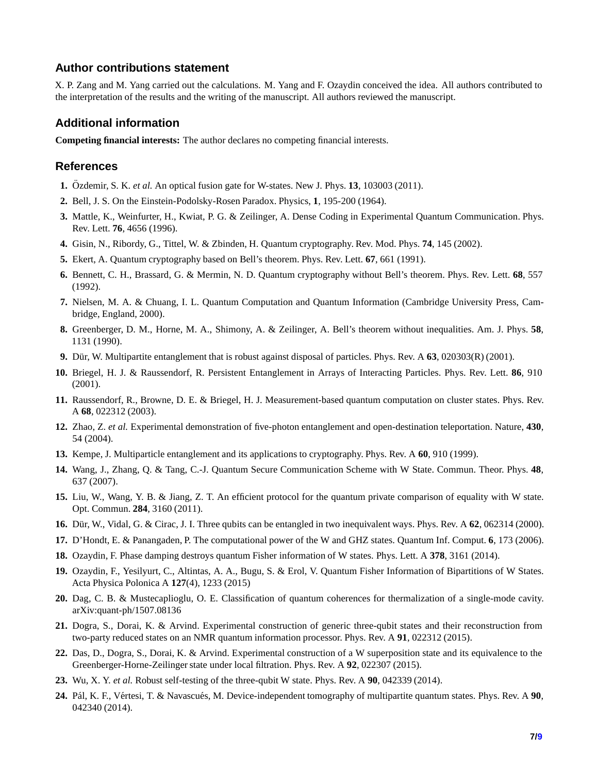# **Author contributions statement**

X. P. Zang and M. Yang carried out the calculations. M. Yang and F. Ozaydin conceived the idea. All authors contributed to the interpretation of the results and the writing of the manuscript. All authors reviewed the manuscript.

# **Additional information**

**Competing financial interests:** The author declares no competing financial interests.

#### <span id="page-6-0"></span>**References**

- <span id="page-6-1"></span>**1.** Özdemir, S. K. *et al.* An optical fusion gate for W-states. New J. Phys. **13**, 103003 (2011).
- <span id="page-6-2"></span>**2.** Bell, J. S. On the Einstein-Podolsky-Rosen Paradox. Physics, **1**, 195-200 (1964).
- <span id="page-6-3"></span>**3.** Mattle, K., Weinfurter, H., Kwiat, P. G. & Zeilinger, A. Dense Coding in Experimental Quantum Communication. Phys. Rev. Lett. **76**, 4656 (1996).
- <span id="page-6-4"></span>**4.** Gisin, N., Ribordy, G., Tittel, W. & Zbinden, H. Quantum cryptography. Rev. Mod. Phys. **74**, 145 (2002).
- **5.** Ekert, A. Quantum cryptography based on Bell's theorem. Phys. Rev. Lett. **67**, 661 (1991).
- <span id="page-6-5"></span>**6.** Bennett, C. H., Brassard, G. & Mermin, N. D. Quantum cryptography without Bell's theorem. Phys. Rev. Lett. **68**, 557 (1992).
- <span id="page-6-6"></span>**7.** Nielsen, M. A. & Chuang, I. L. Quantum Computation and Quantum Information (Cambridge University Press, Cambridge, England, 2000).
- <span id="page-6-7"></span>**8.** Greenberger, D. M., Horne, M. A., Shimony, A. & Zeilinger, A. Bell's theorem without inequalities. Am. J. Phys. **58**, 1131 (1990).
- <span id="page-6-8"></span>**9.** Dür, W. Multipartite entanglement that is robust against disposal of particles. Phys. Rev. A 63, 020303(R) (2001).
- <span id="page-6-9"></span>**10.** Briegel, H. J. & Raussendorf, R. Persistent Entanglement in Arrays of Interacting Particles. Phys. Rev. Lett. **86**, 910 (2001).
- <span id="page-6-10"></span>**11.** Raussendorf, R., Browne, D. E. & Briegel, H. J. Measurement-based quantum computation on cluster states. Phys. Rev. A **68**, 022312 (2003).
- <span id="page-6-11"></span>**12.** Zhao, Z. *et al.* Experimental demonstration of five-photon entanglement and open-destination teleportation. Nature, **430**, 54 (2004).
- <span id="page-6-12"></span>**13.** Kempe, J. Multiparticle entanglement and its applications to cryptography. Phys. Rev. A **60**, 910 (1999).
- <span id="page-6-13"></span>**14.** Wang, J., Zhang, Q. & Tang, C.-J. Quantum Secure Communication Scheme with W State. Commun. Theor. Phys. **48**, 637 (2007).
- <span id="page-6-14"></span>**15.** Liu, W., Wang, Y. B. & Jiang, Z. T. An efficient protocol for the quantum private comparison of equality with W state. Opt. Commun. **284**, 3160 (2011).
- <span id="page-6-15"></span>**16.** Dür, W., Vidal, G. & Cirac, J. I. Three qubits can be entangled in two inequivalent ways. Phys. Rev. A **62**, 062314 (2000).
- <span id="page-6-16"></span>**17.** D'Hondt, E. & Panangaden, P. The computational power of the W and GHZ states. Quantum Inf. Comput. **6**, 173 (2006).
- <span id="page-6-17"></span>**18.** Ozaydin, F. Phase damping destroys quantum Fisher information of W states. Phys. Lett. A **378**, 3161 (2014).
- <span id="page-6-18"></span>**19.** Ozaydin, F., Yesilyurt, C., Altintas, A. A., Bugu, S. & Erol, V. Quantum Fisher Information of Bipartitions of W States. Acta Physica Polonica A **127**(4), 1233 (2015)
- <span id="page-6-19"></span>**20.** Dag, C. B. & Mustecaplioglu, O. E. Classification of quantum coherences for thermalization of a single-mode cavity. arXiv:quant-ph/1507.08136
- **21.** Dogra, S., Dorai, K. & Arvind. Experimental construction of generic three-qubit states and their reconstruction from two-party reduced states on an NMR quantum information processor. Phys. Rev. A **91**, 022312 (2015).
- <span id="page-6-21"></span><span id="page-6-20"></span>**22.** Das, D., Dogra, S., Dorai, K. & Arvind. Experimental construction of a W superposition state and its equivalence to the Greenberger-Horne-Zeilinger state under local filtration. Phys. Rev. A **92**, 022307 (2015).
- <span id="page-6-22"></span>**23.** Wu, X. Y. *et al.* Robust self-testing of the three-qubit W state. Phys. Rev. A **90**, 042339 (2014).
- **24.** P´al, K. F., V´ertesi, T. & Navascu´es, M. Device-independent tomography of multipartite quantum states. Phys. Rev. A **90**, 042340 (2014).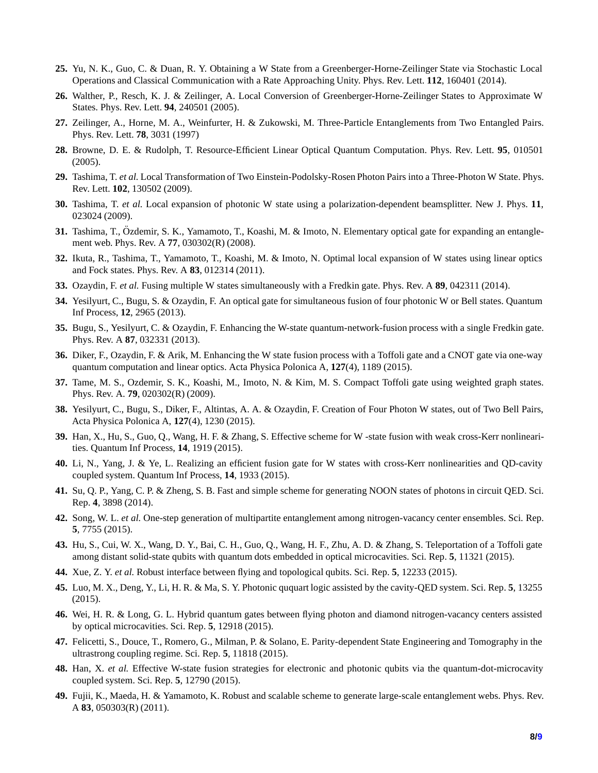- <span id="page-7-1"></span><span id="page-7-0"></span>**25.** Yu, N. K., Guo, C. & Duan, R. Y. Obtaining a W State from a Greenberger-Horne-Zeilinger State via Stochastic Local Operations and Classical Communication with a Rate Approaching Unity. Phys. Rev. Lett. **112**, 160401 (2014).
- <span id="page-7-3"></span>**26.** Walther, P., Resch, K. J. & Zeilinger, A. Local Conversion of Greenberger-Horne-Zeilinger States to Approximate W States. Phys. Rev. Lett. **94**, 240501 (2005).
- <span id="page-7-4"></span>**27.** Zeilinger, A., Horne, M. A., Weinfurter, H. & Zukowski, M. Three-Particle Entanglements from Two Entangled Pairs. Phys. Rev. Lett. **78**, 3031 (1997)
- <span id="page-7-5"></span>**28.** Browne, D. E. & Rudolph, T. Resource-Efficient Linear Optical Quantum Computation. Phys. Rev. Lett. **95**, 010501 (2005).
- <span id="page-7-6"></span>**29.** Tashima, T. *et al.* Local Transformation of Two Einstein-Podolsky-Rosen Photon Pairs into a Three-Photon W State. Phys. Rev. Lett. **102**, 130502 (2009).
- **30.** Tashima, T. *et al.* Local expansion of photonic W state using a polarization-dependent beamsplitter. New J. Phys. **11**, 023024 (2009).
- <span id="page-7-7"></span>**31.** Tashima, T., Özdemir, S. K., Yamamoto, T., Koashi, M. & Imoto, N. Elementary optical gate for expanding an entanglement web. Phys. Rev. A **77**, 030302(R) (2008).
- <span id="page-7-8"></span>**32.** Ikuta, R., Tashima, T., Yamamoto, T., Koashi, M. & Imoto, N. Optimal local expansion of W states using linear optics and Fock states. Phys. Rev. A **83**, 012314 (2011).
- **33.** Ozaydin, F. *et al.* Fusing multiple W states simultaneously with a Fredkin gate. Phys. Rev. A **89**, 042311 (2014).
- <span id="page-7-2"></span>**34.** Yesilyurt, C., Bugu, S. & Ozaydin, F. An optical gate for simultaneous fusion of four photonic W or Bell states. Quantum Inf Process, **12**, 2965 (2013).
- <span id="page-7-9"></span>**35.** Bugu, S., Yesilyurt, C. & Ozaydin, F. Enhancing the W-state quantum-network-fusion process with a single Fredkin gate. Phys. Rev. A **87**, 032331 (2013).
- <span id="page-7-10"></span>**36.** Diker, F., Ozaydin, F. & Arik, M. Enhancing the W state fusion process with a Toffoli gate and a CNOT gate via one-way quantum computation and linear optics. Acta Physica Polonica A, **127**(4), 1189 (2015).
- <span id="page-7-11"></span>**37.** Tame, M. S., Ozdemir, S. K., Koashi, M., Imoto, N. & Kim, M. S. Compact Toffoli gate using weighted graph states. Phys. Rev. A. **79**, 020302(R) (2009).
- <span id="page-7-12"></span>**38.** Yesilyurt, C., Bugu, S., Diker, F., Altintas, A. A. & Ozaydin, F. Creation of Four Photon W states, out of Two Bell Pairs, Acta Physica Polonica A, **127**(4), 1230 (2015).
- <span id="page-7-13"></span>**39.** Han, X., Hu, S., Guo, Q., Wang, H. F. & Zhang, S. Effective scheme for W -state fusion with weak cross-Kerr nonlinearities. Quantum Inf Process, **14**, 1919 (2015).
- <span id="page-7-14"></span>**40.** Li, N., Yang, J. & Ye, L. Realizing an efficient fusion gate for W states with cross-Kerr nonlinearities and QD-cavity coupled system. Quantum Inf Process, **14**, 1933 (2015).
- <span id="page-7-15"></span>**41.** Su, Q. P., Yang, C. P. & Zheng, S. B. Fast and simple scheme for generating NOON states of photons in circuit QED. Sci. Rep. **4**, 3898 (2014).
- <span id="page-7-16"></span>**42.** Song, W. L. *et al.* One-step generation of multipartite entanglement among nitrogen-vacancy center ensembles. Sci. Rep. **5**, 7755 (2015).
- <span id="page-7-17"></span>**43.** Hu, S., Cui, W. X., Wang, D. Y., Bai, C. H., Guo, Q., Wang, H. F., Zhu, A. D. & Zhang, S. Teleportation of a Toffoli gate among distant solid-state qubits with quantum dots embedded in optical microcavities. Sci. Rep. **5**, 11321 (2015).
- <span id="page-7-18"></span>**44.** Xue, Z. Y. *et al.* Robust interface between flying and topological qubits. Sci. Rep. **5**, 12233 (2015).
- <span id="page-7-19"></span>**45.** Luo, M. X., Deng, Y., Li, H. R. & Ma, S. Y. Photonic ququart logic assisted by the cavity-QED system. Sci. Rep. **5**, 13255 (2015).
- <span id="page-7-20"></span>**46.** Wei, H. R. & Long, G. L. Hybrid quantum gates between flying photon and diamond nitrogen-vacancy centers assisted by optical microcavities. Sci. Rep. **5**, 12918 (2015).
- <span id="page-7-21"></span>**47.** Felicetti, S., Douce, T., Romero, G., Milman, P. & Solano, E. Parity-dependent State Engineering and Tomography in the ultrastrong coupling regime. Sci. Rep. **5**, 11818 (2015).
- <span id="page-7-22"></span>**48.** Han, X. *et al.* Effective W-state fusion strategies for electronic and photonic qubits via the quantum-dot-microcavity coupled system. Sci. Rep. **5**, 12790 (2015).
- **49.** Fujii, K., Maeda, H. & Yamamoto, K. Robust and scalable scheme to generate large-scale entanglement webs. Phys. Rev. A **83**, 050303(R) (2011).